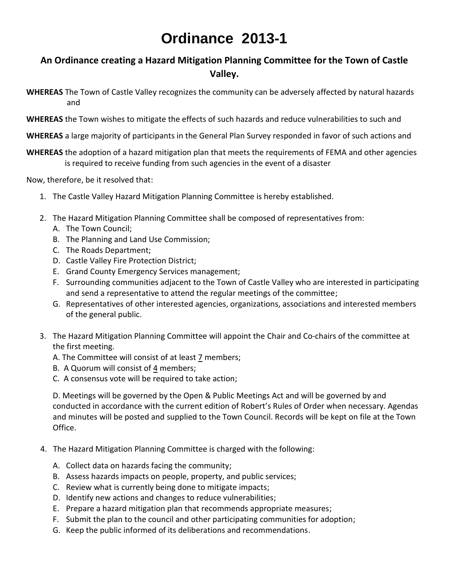## **Ordinance 2013-1**

## **An Ordinance creating a Hazard Mitigation Planning Committee for the Town of Castle Valley.**

- **WHEREAS** The Town of Castle Valley recognizes the community can be adversely affected by natural hazards and
- **WHEREAS** the Town wishes to mitigate the effects of such hazards and reduce vulnerabilities to such and
- **WHEREAS** a large majority of participants in the General Plan Survey responded in favor of such actions and
- **WHEREAS** the adoption of a hazard mitigation plan that meets the requirements of FEMA and other agencies is required to receive funding from such agencies in the event of a disaster

Now, therefore, be it resolved that:

- 1. The Castle Valley Hazard Mitigation Planning Committee is hereby established.
- 2. The Hazard Mitigation Planning Committee shall be composed of representatives from:
	- A. The Town Council;
	- B. The Planning and Land Use Commission;
	- C. The Roads Department;
	- D. Castle Valley Fire Protection District;
	- E. Grand County Emergency Services management;
	- F. Surrounding communities adjacent to the Town of Castle Valley who are interested in participating and send a representative to attend the regular meetings of the committee;
	- G. Representatives of other interested agencies, organizations, associations and interested members of the general public.
- 3. The Hazard Mitigation Planning Committee will appoint the Chair and Co-chairs of the committee at the first meeting.
	- A. The Committee will consist of at least 7 members;
	- B. A Quorum will consist of 4 members;
	- C. A consensus vote will be required to take action;

D. Meetings will be governed by the Open & Public Meetings Act and will be governed by and conducted in accordance with the current edition of Robert's Rules of Order when necessary. Agendas and minutes will be posted and supplied to the Town Council. Records will be kept on file at the Town Office.

- 4. The Hazard Mitigation Planning Committee is charged with the following:
	- A. Collect data on hazards facing the community;
	- B. Assess hazards impacts on people, property, and public services;
	- C. Review what is currently being done to mitigate impacts;
	- D. Identify new actions and changes to reduce vulnerabilities;
	- E. Prepare a hazard mitigation plan that recommends appropriate measures;
	- F. Submit the plan to the council and other participating communities for adoption;
	- G. Keep the public informed of its deliberations and recommendations.